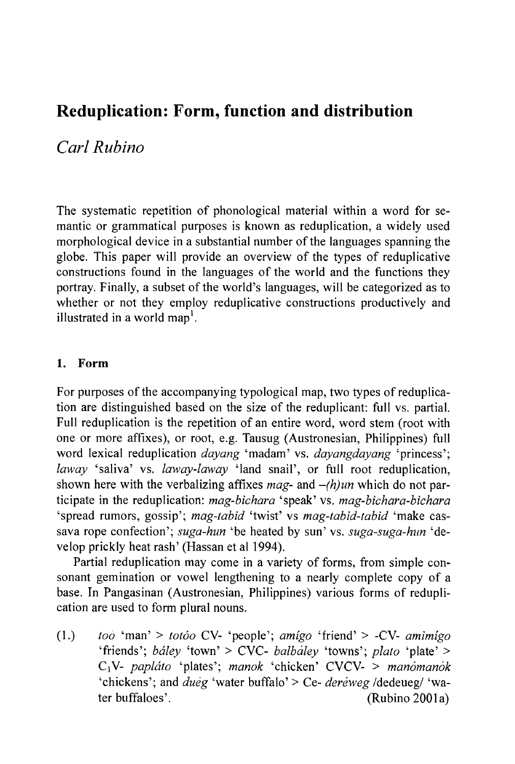# **Reduplication: Form, function and distribution**

# *Carl Rubino*

The systematic repetition of phonological material within a word for semantic or grammatical purposes is known as reduplication, a widely used morphological device in a substantial number of the languages spanning the globe. This paper will provide an overview of the types of reduplicative constructions found in the languages of the world and the functions they portray. Finally, a subset of the world's languages, will be categorized as to whether or not they employ reduplicative constructions productively and illustrated in a world map'.

# **1. Form**

For purposes of the accompanying typological map, two types of reduplication are distinguished based on the size of the reduplicant: full vs. partial. Full reduplication is the repetition of an entire word, word stem (root with one or more affixes), or root, e.g. Tausug (Austronesian, Philippines) full word lexical reduplication *dayang* 'madam' vs. *dayangdayang* 'princess'; *laway* 'saliva' vs. *laway-laway* 'land snail', or full root reduplication, shown here with the verbalizing affixes *mag-* and *-(h)un* which do not participate in the reduplication: *mag-bichara* 'speak' vs. *mag-bichara-bichara*  'spread rumors, gossip'; *mag-tabid* 'twist' vs *mag-tabid-tabid* 'make cassava rope confection'; *suga-hun* 'be heated by sun' vs. *suga-suga-hun* 'develop prickly heat rash' (Hassan et al 1994).

Partial reduplication may come in a variety of forms, from simple consonant gemination or vowel lengthening to a nearly complete copy of a base. In Pangasinan (Austronesian, Philippines) various forms of reduplication are used to form plural nouns.

(1.) *too* 'man' > *totöo* CV- 'people'; *amigo* 'friend' > -CV- *amimigo*  'friends'; *bdley* 'town' > CVC- *balbaley* 'towns'; *plato* 'plate' > CjV- *papldto* 'plates'; *manok* 'chicken' CVCV- > *manomanok*  'chickens'; and *dueg* 'water buffalo' > Ce- *dereweg* /dedeueg/ 'water buffaloes'. (Rubino 2001a)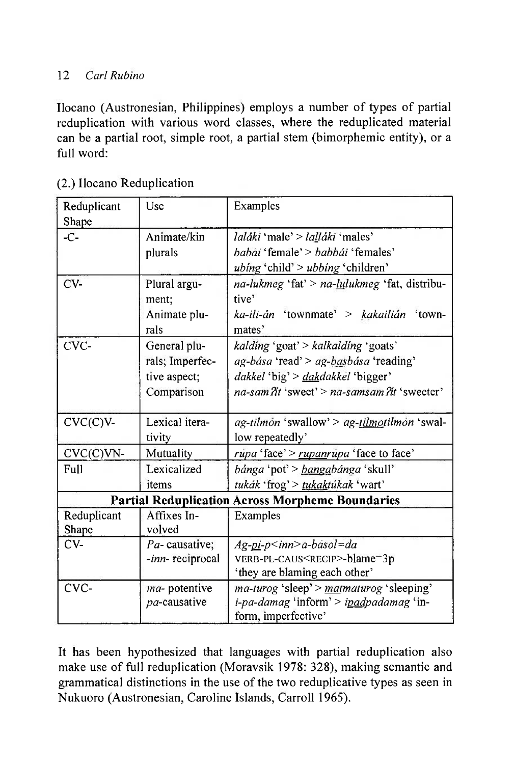Ilocano (Austronesian, Philippines) employs a number of types of partial reduplication with various word classes, where the reduplicated material can be a partial root, simple root, a partial stem (bimorphemic entity), or a full word:

| Reduplicant | Use             | Examples                                                   |  |
|-------------|-----------------|------------------------------------------------------------|--|
| Shape       |                 |                                                            |  |
| $-C-$       | Animate/kin     | <i>laláki</i> 'male' > <i>lalláki</i> 'males'              |  |
|             | plurals         | <i>babai</i> 'female' > babbái 'females'                   |  |
|             |                 | <i>ubing</i> 'child' > <i>ubbing</i> 'children'            |  |
| CV-         | Plural argu-    | na-lukmeg 'fat' > na-lulukmeg 'fat, distribu-              |  |
|             | ment;           | tive <sup>7</sup>                                          |  |
|             | Animate plu-    | ka-ili-án 'townmate' > kakailián<br>'town-                 |  |
|             | rals            | mates'                                                     |  |
| CVC-        | General plu-    | kalding 'goat' > kalkalding 'goats'                        |  |
|             | rals; Imperfec- | ag-bása 'read' > ag-basbása 'reading'                      |  |
|             | tive aspect;    | dakkel 'big' > dakdakkel 'bigger'                          |  |
|             | Comparison      | na-sam $\hat{H}t$ 'sweet' > na-samsam $\hat{H}t$ 'sweeter' |  |
|             |                 |                                                            |  |
| $CVC(C)V-$  | Lexical itera-  | ag-tilmon 'swallow' > ag-tilmotilmon 'swal-                |  |
|             | tivity          | low repeatedly'                                            |  |
| CVC(C)VN-   | Mutuality       | rupa 'face' > rupanrupa 'face to face'                     |  |
| <b>Full</b> | Lexicalized     | bánga 'pot' > bangabánga 'skull'                           |  |
|             | items           | tukák 'frog' > tukaktúkak 'wart'                           |  |
|             |                 | <b>Partial Reduplication Across Morpheme Boundaries</b>    |  |
| Reduplicant | Affixes In-     | Examples                                                   |  |
| Shape       | volved          |                                                            |  |
| CV-         | Pa-causative;   | Ag-pi-p <inn>a-basol=da</inn>                              |  |
|             | -inn-reciprocal | VERB-PL-CAUS <recip>-blame=3p</recip>                      |  |
|             |                 | 'they are blaming each other'                              |  |
| CVC-        | ma-potentive    | ma-turog 'sleep' > matmaturog 'sleeping'                   |  |
|             | pa-causative    | <i>i-pa-damag</i> 'inform' > <i>ipadpadamag</i> 'in-       |  |
|             |                 | form, imperfective'                                        |  |

| (2.) Ilocano Reduplication |  |  |  |  |
|----------------------------|--|--|--|--|
|----------------------------|--|--|--|--|

It has been hypothesized that languages with partial reduplication also make use of full reduplication (Moravsik 1978: 328), making semantic and grammatical distinctions in the use of the two reduplicative types as seen in Nukuoro (Austronesian, Caroline Islands, Carroll 1965).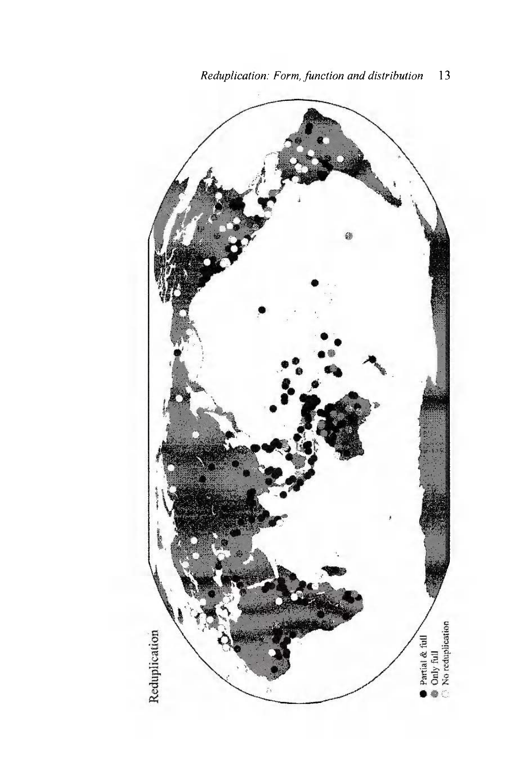

*Reduplication: Form, function and distribution 13*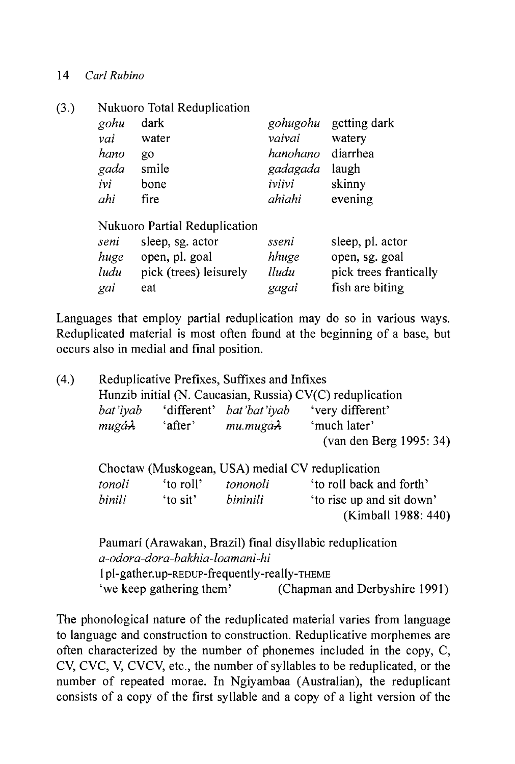| (3.) | Nukuoro Total Reduplication |                               |          |                        |  |
|------|-----------------------------|-------------------------------|----------|------------------------|--|
|      | gohu                        | dark                          | gohugohu | getting dark           |  |
|      | vai                         | water                         | vaivai   | watery                 |  |
|      | hano                        | 80                            | hanohano | diarrhea               |  |
|      | gada                        | smile                         | gadagada | laugh                  |  |
|      | ivi                         | bone                          | iviivi   | skinny                 |  |
|      | ahi                         | fire                          | ahiahi   | evening                |  |
|      |                             | Nukuoro Partial Reduplication |          |                        |  |
|      | seni                        | sleep, sg. actor              | sseni    | sleep, pl. actor       |  |
|      | huge                        | open, pl. goal                | hhuge    | open, sg. goal         |  |
|      | ludu                        | pick (trees) leisurely        | lludu    | pick trees frantically |  |
|      | gai                         | eat                           | gagai    | fish are biting        |  |
|      |                             |                               |          |                        |  |

Languages that employ partial reduplication may do so in various ways. Reduplicated material is most often found at the beginning of a base, but occurs also in medial and final position.

(4.) Reduplicative Prefixes, Suffixes and Infixes Hunzib initial (N. Caucasian, Russia) CV(C) reduplication *bat'iyab* 'different' *bat'bat'iyab* 'very different' *mugä-* 'after' *mu.muga-λ* 'much later' (van den Berg 1995: 34) Choctaw (Muskogean, USA) medial CV reduplication *tonoli* 'to roll' *tononoli* 'to roll back and forth' *binili* 'to sit' *bininili* 'to rise up and sit down' (Kimball 1988: 440)

> Paumari (Arawakan, Brazil) final disyllabic reduplication *a-odora-dora-bakhia-loamani-hi*  lpl-gather.up-REDUP-frequently-really-THEME 'we keep gathering them' (Chapman and Derbyshire 1991)

The phonological nature of the reduplicated material varies from language to language and construction to construction. Reduplicative morphemes are often characterized by the number of phonemes included in the copy, C, CV, CVC, V, CVCV, etc., the number of syllables to be reduplicated, or the number of repeated morae. In Ngiyambaa (Australian), the reduplicant consists of a copy of the first syllable and a copy of a light version of the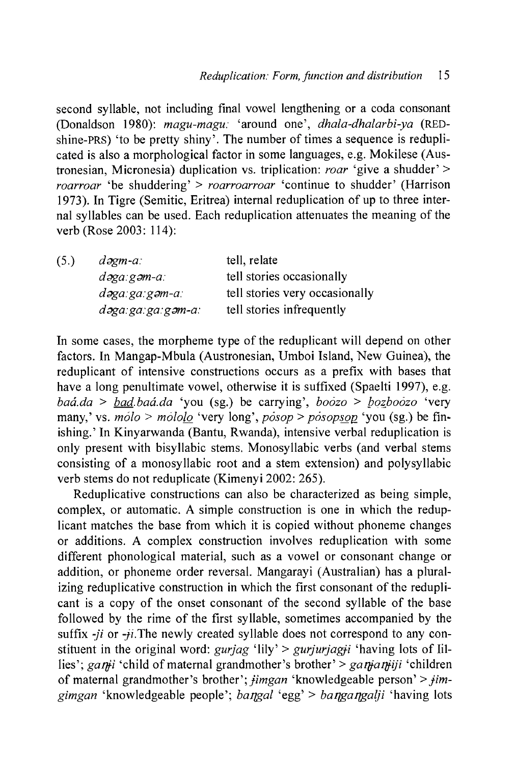second syllable, not including final vowel lengthening or a coda consonant (Donaldson 1980): *magu-magu:* 'around one', *dhala-dhalarbi-ya* (REDshine-PRS) 'to be pretty shiny'. The number of times a sequence is reduplicated is also a morphological factor in some languages, e.g. Mokilese (Austronesian, Micronesia) duplication vs. triplication: *roar* 'give a shudder' > *roarroar* 'be shuddering' > *roarroarroar* 'continue to shudder' (Harrison 1973). In Tigre (Semitic, Eritrea) internal reduplication of up to three internal syllables can be used. Each reduplication attenuates the meaning of the verb (Rose 2003: 114):

| (5.) | $d$ <i><del>əgm-a</del></i> | tell, relate                   |
|------|-----------------------------|--------------------------------|
|      | $d$ əga:gəm-a:              | tell stories occasionally      |
|      | $d$ əga:ga:gəm-a:           | tell stories very occasionally |
|      | $d$ əga: ga: ga: gəm-a:     | tell stories infrequently      |

In some cases, the morpheme type of the reduplicant will depend on other factors. In Mangap-Mbula (Austronesian, Umboi Island, New Guinea), the reduplicant of intensive constructions occurs as a prefix with bases that have a long penultimate vowel, otherwise it is suffixed (Spaelti 1997), e.g. *baä.da > bad.baä.da* 'you (sg.) be carrying', *boozo > bozboozo* 'very many,' vs. *molo > mololo* 'very long', *posop > posopsop* 'you (sg.) be finishing.' In Kinyarwanda (Bantu, Rwanda), intensive verbal reduplication is only present with bisyllabic stems. Monosyllabic verbs (and verbal stems consisting of a monosyllabic root and a stem extension) and polysyllabic verb stems do not reduplicate (Kimenyi 2002: 265).

Reduplicative constructions can also be characterized as being simple, complex, or automatic. A simple construction is one in which the reduplicant matches the base from which it is copied without phoneme changes or additions. A complex construction involves reduplication with some different phonological material, such as a vowel or consonant change or addition, or phoneme order reversal. Mangarayi (Australian) has a pluralizing reduplicative construction in which the first consonant of the reduplicant is a copy of the onset consonant of the second syllable of the base followed by the rime of the first syllable, sometimes accompanied by the suffix  $-i$ *i* or  $-i$ *i*. The newly created syllable does not correspond to any constituent in the original word: *gurjag* 'lily' > *gurjurjagji* 'having lots of Iillies'; *gan<sub>i</sub>*i 'child of maternal grandmother's brother' > *ganjanjiji* 'children' of maternal grandmother's brother'; *jimgan* 'knowledgeable person' > *jimgimgan* 'knowledgeable people'; *barfgal* 'egg' > *baqgaqgalji* 'having lots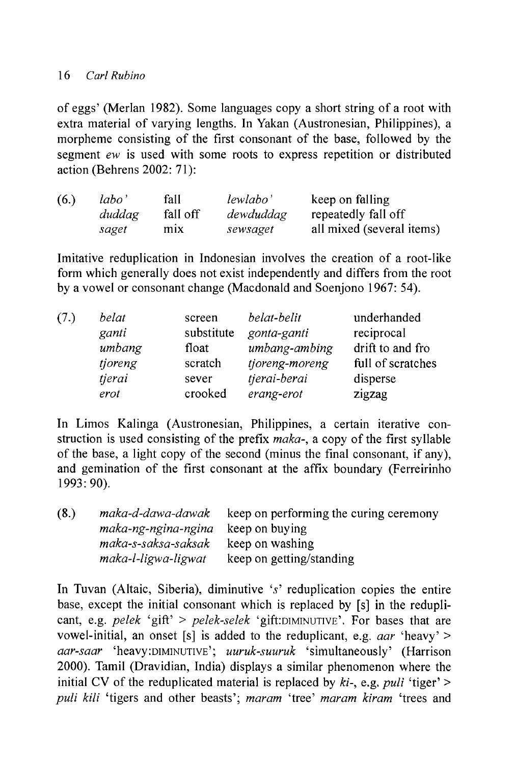of eggs' (Merlan 1982). Some languages copy a short string of a root with extra material of varying lengths. In Yakan (Austronesian, Philippines), a morpheme consisting of the first consonant of the base, followed by the segment *ew* is used with some roots to express repetition or distributed action (Behrens 2002: 71):

| (6.) | labo'  | fall             | lewlabo'  | keep on falling           |
|------|--------|------------------|-----------|---------------------------|
|      | duddag | fall off         | dewduddag | repeatedly fall off       |
|      | saget  | m <sub>1</sub> x | sewsaget  | all mixed (several items) |

Imitative reduplication in Indonesian involves the creation of a root-like form which generally does not exist independently and differs from the root by a vowel or consonant change (Macdonald and Soenjono 1967: 54).

| (7.) | belat   | screen     | belat-belit    | underhanded       |
|------|---------|------------|----------------|-------------------|
|      | ganti   | substitute | gonta-ganti    | reciprocal        |
|      | umbang  | float      | umbang-ambing  | drift to and fro  |
|      | tjoreng | scratch    | tjoreng-moreng | full of scratches |
|      | tjerai  | sever      | tjerai-berai   | disperse          |
|      | erot    | crooked    | erang-erot     | zigzag            |

In Limos Kalinga (Austronesian, Philippines, a certain iterative construction is used consisting of the prefix *maka-,* a copy of the first syllable of the base, a light copy of the second (minus the final consonant, if any), and gemination of the first consonant at the affix boundary (Ferreirinho 1993:90).

| (8.) | maka-d-dawa-dawak   | keep on performing the curing ceremony |
|------|---------------------|----------------------------------------|
|      | maka-ng-ngina-ngina | keep on buying                         |
|      | maka-s-saksa-saksak | keep on washing                        |
|      | maka-l-ligwa-ligwat | keep on getting/standing               |

In Tuvan (Altaic, Siberia), diminutive 's' reduplication copies the entire base, except the initial consonant which is replaced by [s] in the reduplicant, e.g. *pelek* 'gift' > *pelek-selek* 'gift:DIMINUTIVE'. For bases that are vowel-initial, an onset [s] is added to the reduplicant, e.g. *aar* 'heavy' > *aar-saar* 'heavy :DIMINUTIVE' ; *uuruk-suuruk* 'simultaneously' (Harrison 2000). Tamil (Dravidian, India) displays a similar phenomenon where the initial CV of the reduplicated material is replaced by *hi-,* e.g. *puli* 'tiger' > *puli kili* 'tigers and other beasts'; *maram* 'tree' *maram kiram* 'trees and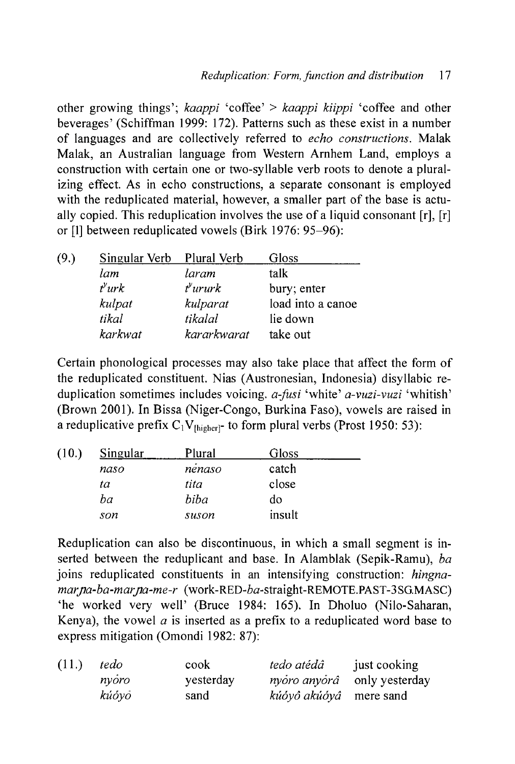other growing things'; *kaappi* 'coffee' > *kaappi kiippi* 'coffee and other beverages' (Schiffman 1999: 172). Patterns such as these exist in a number of languages and are collectively referred to *echo constructions.* Malak Malak, an Australian language from Western Arnhem Land, employs a construction with certain one or two-syllable verb roots to denote a pluralizing effect. As in echo constructions, a separate consonant is employed with the reduplicated material, however, a smaller part of the base is actually copied. This reduplication involves the use of a liquid consonant [r], [r] or [1] between reduplicated vowels (Birk 1976: 95-96):

|               |                 | Gloss                     |
|---------------|-----------------|---------------------------|
| lam           | laram           | talk                      |
| $t^{\nu}$ urk | $t^{\nu}$ ururk | bury; enter               |
| kulpat        | kulparat        | load into a canoe         |
| tikal         | tikalal         | lie down                  |
| karkwat       | kararkwarat     | take out                  |
|               |                 | Singular Verb Plural Verb |

Certain phonological processes may also take place that affect the form of the reduplicated constituent. Nias (Austronesian, Indonesia) disyllabic reduplication sometimes includes voicing, *a-fusi* 'white' *a-vuzi-vuzi* 'whitish' (Brown 2001). In Bissa (Niger-Congo, Burkina Faso), vowels are raised in a reduplicative prefix  $C_1V_{\text{fhicher}l}$ - to form plural verbs (Prost 1950: 53):

| (10.) | Singular | Plural | Gloss  |  |
|-------|----------|--------|--------|--|
|       | naso     | nėnaso | catch  |  |
|       | ta       | tita   | close  |  |
|       | bа       | biba   | do     |  |
|       | son      | suson  | insult |  |
|       |          |        |        |  |

Reduplication can also be discontinuous, in which a small segment is inserted between the reduplicant and base. In Alamblak (Sepik-Ramu), *ba*  joins reduplicated constituents in an intensifying construction: *hingna*marpa-ba-marpa-me-r (work-RED-ba-straight-REMOTE.PAST-3SG.MASC) 'he worked very well' (Bruce 1984: 165). In Dholuo (Nilo-Saharan, Kenya), the vowel  $a$  is inserted as a prefix to a reduplicated word base to express mitigation (Omondi 1982: 87):

| (11.) | tedo  | cook      | tedo atédâ                         | just cooking |
|-------|-------|-----------|------------------------------------|--------------|
|       | nvoro | vesterday | <i>nyoro anyora</i> only yesterday |              |
|       | kúóyō | sand      | <i>kúóyô akúóyâ</i> mere sand      |              |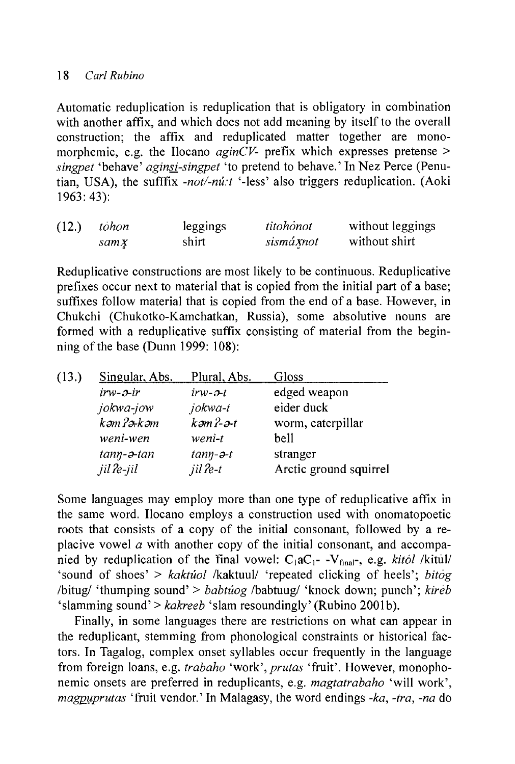Automatic reduplication is reduplication that is obligatory in combination with another affix, and which does not add meaning by itself to the overall construction; the affix and reduplicated matter together are monomorphemic, e.g. the Ilocano *aginCV-* prefix which expresses pretense > *singpet* 'behave' *aginsi-singpet* 'to pretend to behave.' In Nez Perce (Penutian, USA), the sufffix  $-not/-\hat{u}t$  '-less' also triggers reduplication. (Aoki 1963:43):

| (12.) | tohon | leggings | titohonot | without leggings |
|-------|-------|----------|-----------|------------------|
|       | samx  | shirt    | sismáxnot | without shirt    |

Reduplicative constructions are most likely to be continuous. Reduplicative prefixes occur next to material that is copied from the initial part of a base; suffixes follow material that is copied from the end of a base. However, in Chukchi (Chukotko-Kamchatkan, Russia), some absolutive nouns are formed with a reduplicative suffix consisting of material from the beginning of the base (Dunn 1999: 108):

| Singular, Abs.               | Plural, Abs.           | Gloss                  |
|------------------------------|------------------------|------------------------|
| $irw - \theta - ir$          | $irw-2-t$              | edged weapon           |
| jokwa-jow                    | jokwa-t                | eider duck             |
| kəm?ə <sub>r</sub> kəm       | $k$ əm $2 - 2t$        | worm, caterpillar      |
| weni-wen                     | weni-t                 | bell                   |
| $tan\eta$ - $\sigma$ - $tan$ | $tan\eta - \partial t$ | stranger               |
| jil ?e-jil                   | $jil$ $2e-t$           | Arctic ground squirrel |
|                              |                        |                        |

Some languages may employ more than one type of reduplicative affix in the same word. Ilocano employs a construction used with onomatopoetic roots that consists of a copy of the initial consonant, followed by a replacive vowel *a* with another copy of the initial consonant, and accompanied by reduplication of the final vowel: CiaC]- -Vfma|-, e.g. *kitol* /kitul/ 'sound of shoes' > *kaktüol* /kaktuul/ 'repeated clicking of heels'; *bitog*  /bitug/ 'thumping sound' > *babtiiog* /babtuug/ 'knock down; punch'; *kireb*  'slamming sound' > *kakreeb* 'slam resoundingly' (Rubino 2001b).

Finally, in some languages there are restrictions on what can appear in the reduplicant, stemming from phonological constraints or historical factors. In Tagalog, complex onset syllables occur frequently in the language from foreign loans, e.g. *trabaho* 'work', *prutas* 'fruit'. However, monophonemic onsets are preferred in reduplicants, e.g. *magtatrabaho* 'will work', *magpuprutas* 'fruit vendor.' In Malagasy, the word endings *-ka, -tra, -na* do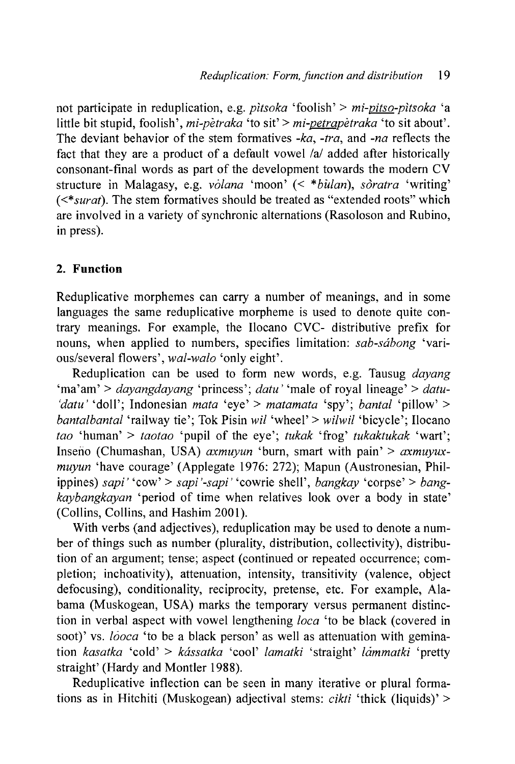not participate in reduplication, e.g. *pitsoka* 'foolish' > *mi-pitso-pitsoka* 'a little bit stupid, foolish', *mi-petraka* 'to sit' > *mi-petrapetraka* 'to sit about'. The deviant behavior of the stem formatives *-ka, -tra,* and *-na* reflects the fact that they are a product of a default vowel /a/ added after historically consonant-final words as part of the development towards the modern CV structure in Malagasy, e.g. *volana* 'moon' (< *\*bulan), sdratra* 'writing' *(<\*surat*). The stem formatives should be treated as "extended roots" which are involved in a variety of synchronic alternations (Rasoloson and Rubino, in press).

# **2. Function**

Reduplicative morphemes can carry a number of meanings, and in some languages the same reduplicative morpheme is used to denote quite contrary meanings. For example, the Ilocano CVC- distributive prefix for nouns, when applied to numbers, specifies limitation: *sab-sdbong* 'various/several flowers', *wal-walo* 'only eight'.

Reduplication can be used to form new words, e.g. Tausug *dayang*  'ma'am' > *dayangdayang* 'princess'; *datu'* 'male of royal lineage' > *datu- 'datu'* 'doll'; Indonesian *mata* 'eye' > *matamata* 'spy'; *bantal* 'pillow' > *bantalbantal* 'railway tie'; Tok Pisin *wil* 'wheel' > *wilwil* 'bicycle'; Ilocano *tao* 'human' > *taotao* 'pupil of the eye'; *tukak* 'frog' *tukaktukak* 'wart'; Inseno (Chumashan, USA) *axmuyun* 'burn, smart with pain' > *axmuyuxmuyun* 'have courage' (Applegate 1976: 272); Mapun (Austronesian, Philippines) *sapi'* 'cow' > *sapi'-sapi*"cowrie shell', *bangkay* 'corpse' > *bangkaybangkayan* 'period of time when relatives look over a body in state' (Collins, Collins, and Hashim 2001).

With verbs (and adjectives), reduplication may be used to denote a number of things such as number (plurality, distribution, collectivity), distribution of an argument; tense; aspect (continued or repeated occurrence; completion; inchoativity), attenuation, intensity, transitivity (valence, object defocusing), conditionality, reciprocity, pretense, etc. For example, Alabama (Muskogean, USA) marks the temporary versus permanent distinction in verbal aspect with vowel lengthening *loca* 'to be black (covered in soot)' vs. *looca* 'to be a black person' as well as attenuation with gemination *kasatka* 'cold' > *kässatka* 'cool' *lamatki* 'straight' *Icimmatki* 'pretty straight' (Hardy and Montier 1988).

Reduplicative inflection can be seen in many iterative or plural formations as in Hitchiti (Muskogean) adjectival stems: *cikti* 'thick (liquids)' >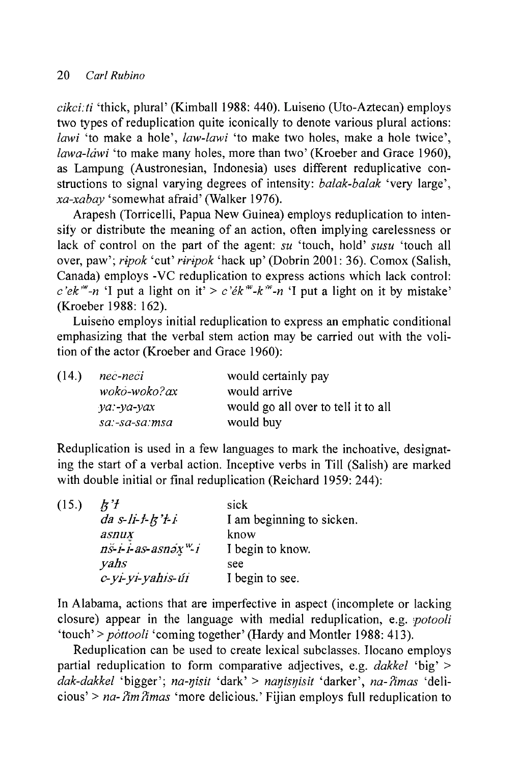*cikci.ti* 'thick, plural' (Kimball 1988: 440). Luiseno (Uto-Aztecan) employs two types of reduplication quite iconically to denote various plural actions: *lawi* 'to make a hole', *law-lawi* 'to make two holes, make a hole twice', *lawa-lawi* 'to make many holes, more than two' (Kroeber and Grace 1960), as Lampung (Austronesian, Indonesia) uses different reduplicative constructions to signal varying degrees of intensity: *balak-balak* 'very large', *xa-xabay* 'somewhat afraid' (Walker 1976).

Arapesh (Torricelli, Papua New Guinea) employs reduplication to intensify or distribute the meaning of an action, often implying carelessness or lack of control on the part of the agent: *su* 'touch, hold' *susu* 'touch all over, paw'; *ripok* 'cut' *rirtpok* 'hack up' (Dobrin 2001: 36). Comox (Salish, Canada) employs -VC reduplication to express actions which lack control:  $c'ek'' - n'$  I put a light on it' >  $c'ek'' - k'' - n'$  I put a light on it by mistake' (Kroeber 1988: 162).

Luiseno employs initial reduplication to express an emphatic conditional emphasizing that the verbal stem action may be carried out with the volition of the actor (Kroeber and Grace 1960):

| (14.) | nec-neci      | would certainly pay                 |
|-------|---------------|-------------------------------------|
|       | woko-woko?ax  | would arrive                        |
|       | ya:-ya-yax    | would go all over to tell it to all |
|       | sa:-sa-sa:msa | would buy                           |

Reduplication is used in a few languages to mark the inchoative, designating the start of a verbal action. Inceptive verbs in Till (Salish) are marked with double initial or final reduplication (Reichard 1959: 244):

| (15.) | $k$ 'ł                           | sick                      |
|-------|----------------------------------|---------------------------|
|       | $da$ s-li-t- $k$ 't-i            | I am beginning to sicken. |
|       | asnux                            | know                      |
|       | $n\ddot{s}$ -i-i-as-asnox $v$ -i | I begin to know.          |
|       | yahs                             | see                       |
|       | c-yi-yi-yahis-úi                 | I begin to see.           |

In Alabama, actions that are imperfective in aspect (incomplete or lacking closure) appear in the language with medial reduplication, e.g. *potooli*  'touch' > *pottooli* 'coming together' (Hardy and Montier 1988: 413).

Reduplication can be used to create lexical subclasses. Ilocano employs partial reduplication to form comparative adjectives, e.g. *dakkel* 'big' > *dak-dakkel* 'bigger'; *na-ijisit* 'dark' > *naijisyisit* 'darker', *na-?imas* 'delicious' > *na-?im?imas* 'more delicious.' Fijian employs full reduplication to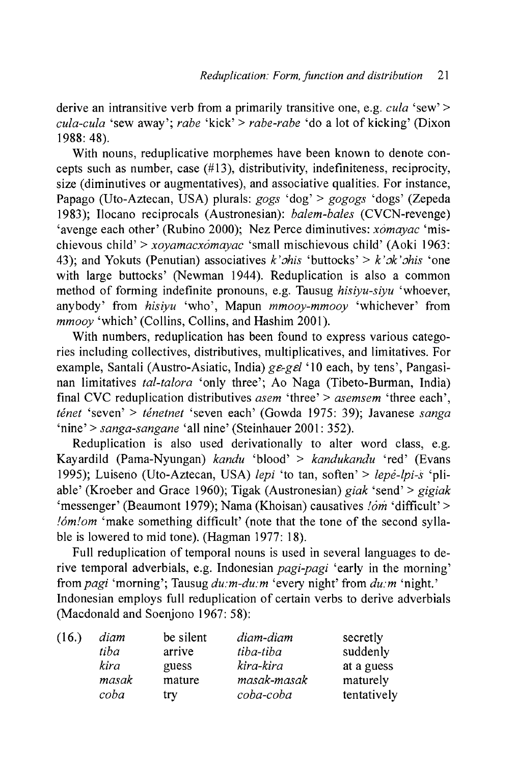derive an intransitive verb from a primarily transitive one, e.g. *cula* 'sew' > *cula-cula* 'sew away'; *rabe* 'kick' > *rabe-rabe* 'do a lot of kicking' (Dixon 1988: 48).

With nouns, reduplicative morphemes have been known to denote concepts such as number, case (#13), distributivity, indefiniteness, reciprocity, size (diminutives or augmentatives), and associative qualities. For instance, Papago (Uto-Aztecan, USA) plurals: *gogs* 'dog' > *gogogs* 'dogs' (Zepeda 1983); Ilocano reciprocals (Austronesian): *balem-bales* (CVCN-revenge) 'avenge each other' (Rubino 2000); Nez Perce diminutives: *xomayac* 'mischievous child' > *xoyamacxomayac* 'small mischievous child' (Aoki 1963: 43); and Yokuts (Penutian) associatives *k'ohis* 'buttocks' > *k'ok'ohis* 'one with large buttocks' (Newman 1944). Reduplication is also a common method of forming indefinite pronouns, e.g. Tausug *hisiyu-siyu* 'whoever, anybody' from *hisiyu* 'who', Mapun *mmooy-mmooy* 'whichever' from *mmooy* 'which' (Collins, Collins, and Hashim 2001).

With numbers, reduplication has been found to express various categories including collectives, distributives, multiplicatives, and limitatives. For example, Santali (Austro-Asiatic, India) *ge-gel* '10 each, by tens', Pangasinan limitatives *tal-talora* 'only three'; Ao Naga (Tibeto-Burman, India) final CVC reduplication distributives *asem* 'three' > *asemsem* 'three each', *tinet* 'seven' > *tinetnet* 'seven each' (Gowda 1975: 39); Javanese *sanga*  'nine' > *sanga-sangane* 'all nine' (Steinhauer 2001: 352).

Reduplication is also used derivationally to alter word class, e.g. Kayardild (Pama-Nyungan) *kandu* 'blood' > *kandukandu* 'red' (Evans 1995); Luiseno (Uto-Aztecan, USA) *lepi* 'to tan, soften' > *lepe-lpi-s* 'pliable' (Kroeber and Grace 1960); Tigak (Austronesian) *giak* 'send' > *gigiak*  'messenger' (Beaumont 1979); Nama (Khoisan) causatives  $\ell$ *om* 'difficult' > *lom!om* 'make something difficult' (note that the tone of the second syllable is lowered to mid tone). (Hagman 1977: 18).

Full reduplication of temporal nouns is used in several languages to derive temporal adverbials, e.g. Indonesian *pagi-pagi* 'early in the morning' from*pagi* 'morning'; Tausug *du:m-du:m* 'every night' from *du:m* 'night.' Indonesian employs full reduplication of certain verbs to derive adverbials (Macdonald and Soenjono 1967: 58):

| (16.) | diam  | be silent | diam-diam   | secretly    |
|-------|-------|-----------|-------------|-------------|
|       | tiba  | arrive    | tiba-tiba   | suddenly    |
|       | kira  | guess     | kira-kira   | at a guess  |
|       | masak | mature    | masak-masak | maturely    |
|       | coba  | trv       | coba-coba   | tentatively |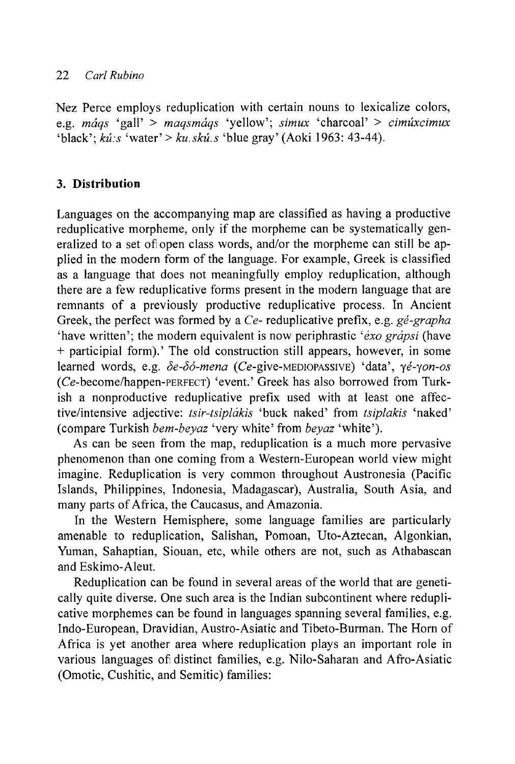Nez Perce employs reduplication with certain nouns to lexicalize colors, e.g. *mäqs* 'gall' > *maqsmdqs* 'yellow'; *simux* 'charcoal' > *cimüxcimux*  'black'; *M:s* 'water' > *ku.skü.s* 'blue gray' (Aoki 1963: 43-44).

# **3. Distribution**

Languages on the accompanying map are classified as having a productive reduplicative morpheme, only if the morpheme can be systematically generalized to a set of open class words, and/or the morpheme can still be applied in the modern form of the language. For example, Greek is classified as a language that does not meaningfully employ reduplication, although there are a few reduplicative forms present in the modern language that are remnants of a previously productive reduplicative process. In Ancient Greek, the perfect was formed by a Ce- reduplicative prefix, e.g. gé-grapha 'have written'; the modern equivalent is now periphrastic '*exo grapsi* (have + participial form).' The old construction still appears, however, in some learned words, e.g. *δβ-δό-mena* (Ce-give-MEDioPASSiVE) 'data', *yi-yon-os*  (Ce-become/happen-**PERFECT**) 'event.' Greek has also borrowed from Turkish a nonproductive reduplicative prefix used with at least one affective/intensive adjective: *tsir-tsiplakis* 'buck naked' from *tsiplakis* 'naked' (compare Turkish *bem-beyaz* 'very white' from *beyaz* 'white').

As can be seen from the map, reduplication is a much more pervasive phenomenon than one coming from a Western-European world view might imagine. Reduplication is very common throughout Austronesia (Pacific Islands, Philippines, Indonesia, Madagascar), Australia, South Asia, and many parts of Africa, the Caucasus, and Amazonia.

In the Western Hemisphere, some language families are particularly amenable to reduplication, Salishan, Pomoan, Uto-Aztecan, Algonkian, Yuman, Sahaptian, Siouan, etc, while others are not, such as Athabascan and Eskimo-Aleut.

Reduplication can be found in several areas of the world that are genetically quite diverse. One such area is the Indian subcontinent where reduplicative morphemes can be found in languages spanning several families, e.g. Indo-European, Dravidian, Austro-Asiatic and Tibeto-Burman. The Horn of Africa is yet another area where reduplication plays an important role in various languages of distinct families, e.g. Nilo-Saharan and Afro-Asiatic (Omotic, Cushitic, and Semitic) families: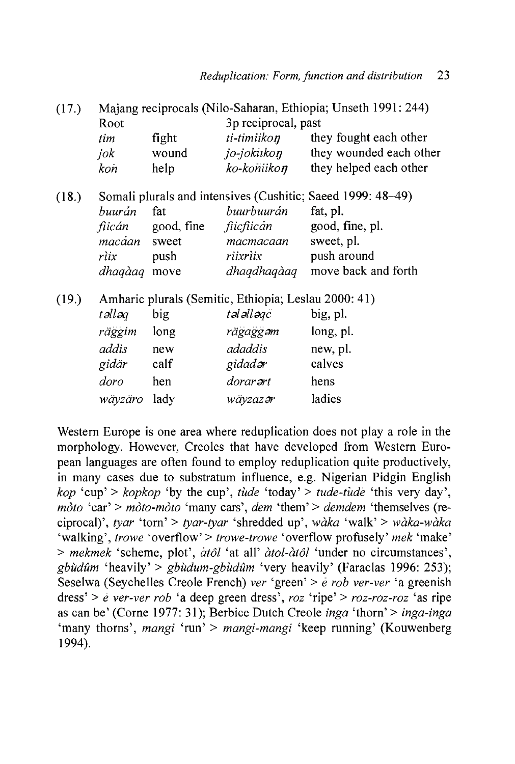| (17.) | Majang reciprocals (Nilo-Saharan, Ethiopia; Unseth 1991: 244) |       |                     |                         |
|-------|---------------------------------------------------------------|-------|---------------------|-------------------------|
|       | Root                                                          |       | 3p reciprocal, past |                         |
|       | tim                                                           | fight | ti-timiikon         | they fought each other  |
|       | iok                                                           | wound | jo-jokiikon         | they wounded each other |
|       | kon                                                           | help  | ko-koniikon         | they helped each other  |

| buurán | fat        | buurbuurán   | fat, pl.                                                    |
|--------|------------|--------------|-------------------------------------------------------------|
| fiicán | good, fine | fiicfiican   | good, fine, pl.                                             |
| macaan | sweet      | macmacaan    | sweet, pl.                                                  |
| rìix   | push       | riixrìix     | push around                                                 |
|        |            | dhaqdhaqàaq  | move back and forth                                         |
|        |            | dhaqàaq move | Somali plurals and intensives (Cushitic; Saeed 1999: 48-49) |

(19.) Amharic plurals (Semitic, Ethiopia; Leslau 2000: 41)

| rägagg om<br>räggim<br>long, pl.<br>long |  |
|------------------------------------------|--|
|                                          |  |
| adaddis<br>new, pl.<br>addis<br>new      |  |
| calves<br>gidär<br>gidadar<br>calf       |  |
| dorar art<br>doro<br>hens<br>hen         |  |
| ladies<br>wäyzäro<br>wäyzaz or<br>lady   |  |

Western Europe is one area where reduplication does not play a role in the morphology. However, Creoles that have developed from Western European languages are often found to employ reduplication quite productively, in many cases due to substratum influence, e.g. Nigerian Pidgin English *kop* 'cup' > *kopkop* 'by the cup', *tüde* 'today' > *tude-tude* 'this very day', *möto* 'car' > *möto-mdto* 'many cars', *dem* 'them' > *demdem* 'themselves (reciprocal)', *tyar* 'torn' > *tyar-tyar* 'shredded up', *wäka* 'walk' > *wäka-wäka*  'walking', *trowe* 'overflow' > *trowe-trowe* 'overflow profusely' *mek* 'make' *> mekmek* 'scheme, plot', *atöl* 'at all' *ätol-ätöl* 'under no circumstances', *gbüdüm* 'heavily' > *gbüdum-gbüdüm* 'very heavily' (Faraclas 1996: 253); Seselwa (Seychelles Creole French) *ver* 'green' > *e rob ver-ver* 'a greenish dress' > *e ver-ver rob* 'a deep green dress', *roz* 'ripe' > *roz-roz-roz* 'as ripe as can be' (Corne 1977: 31); Berbice Dutch Creole *inga* 'thorn' > *inga-inga*  'many thorns', *mangi* 'run' > *mangi-mangi* 'keep running' (Kouwenberg 1994).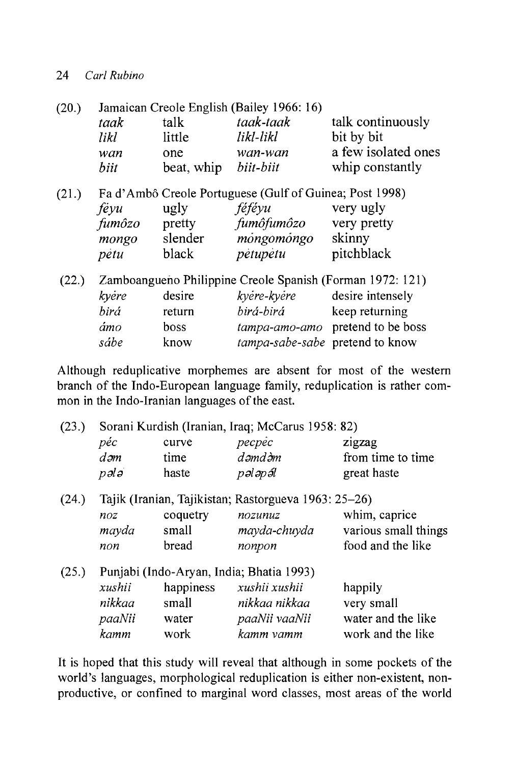| taak | talk       | taak-taak | talk continuously                                      |
|------|------------|-----------|--------------------------------------------------------|
| likl | little     | likl-likl | bit by bit                                             |
| wan  | one        | wan-wan   | a few isolated ones                                    |
| biit | beat, whip |           | whip constantly                                        |
|      |            |           | Jamaican Creole English (Bailey 1966: 16)<br>biit-biit |

| (21.) |        |         | Fa d'Ambô Creole Portuguese (Gulf of Guinea; Post 1998) |             |
|-------|--------|---------|---------------------------------------------------------|-------------|
|       | fėyu   | ugly    | féféyu                                                  | very ugly   |
|       | fumôzo | pretty  | fumôfumôzo                                              | very pretty |
|       | mongo  | slender | mongomongo                                              | skinny      |
|       | pėtu   | black   | pėtupėtu                                                | pitchblack  |

| (22.) | Zamboangueno Philippine Creole Spanish (Forman 1972: 121) |        |                                 |                                  |  |
|-------|-----------------------------------------------------------|--------|---------------------------------|----------------------------------|--|
|       | kvėre                                                     | desire | kyėre-kyėre                     | desire intensely                 |  |
|       | hirá                                                      | return | birá-birá                       | keep returning                   |  |
|       | ámo                                                       | boss.  |                                 | tampa-amo-amo pretend to be boss |  |
|       | sábe                                                      | know   | tampa-sabe-sabe pretend to know |                                  |  |

Although reduplicative morphemes are absent for most of the western branch of the Indo-European language family, reduplication is rather common in the Indo-Iranian languages of the east.

(23.) Sorani Kurdish (Iranian, Iraq; McCarus 1958: 82)

| péc     | curve | pecpec  | zigzag            |
|---------|-------|---------|-------------------|
| dəm     | time  | dəmdəm  | from time to time |
| $p$ ələ | haste | pələpəl | great haste       |

| (24.) | Tajik (Iranian, Tajikistan; Rastorgueva 1963: 25–26) |          |              |                      |  |
|-------|------------------------------------------------------|----------|--------------|----------------------|--|
|       | noz                                                  | coquetry | nozunuz      | whim, caprice        |  |
|       | mavda                                                | small    | mayda-chuyda | various small things |  |
|       | non                                                  | bread    | nonpon       | food and the like    |  |

| (25.) | Punjabi (Indo-Aryan, India; Bhatia 1993) |           |               |                    |  |
|-------|------------------------------------------|-----------|---------------|--------------------|--|
|       | xushii                                   | happiness | xushii xushii | happily            |  |
|       | nikkaa                                   | small     | nikkaa nikkaa | very small         |  |
|       | paaNii                                   | water     | paaNii vaaNii | water and the like |  |
|       | kamm                                     | work      | kamm vamm     | work and the like  |  |

It is hoped that this study will reveal that although in some pockets of the world's languages, morphological reduplication is either non-existent, nonproductive, or confined to marginal word classes, most areas of the world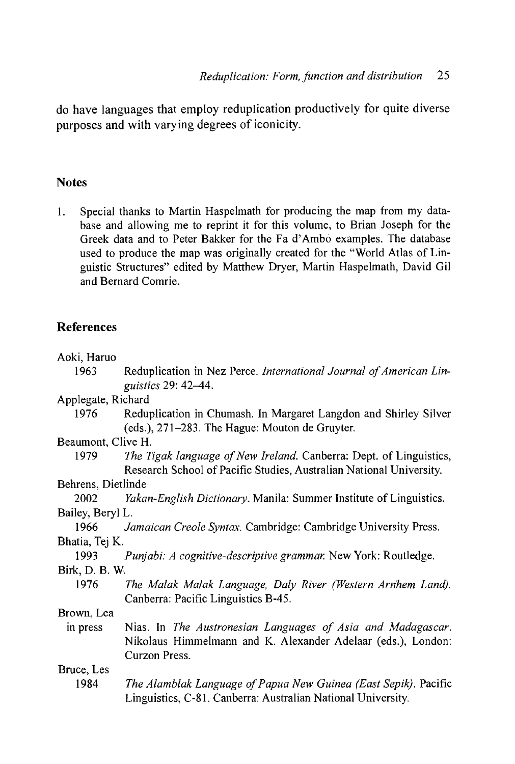do have languages that employ reduplication productively for quite diverse purposes and with varying degrees of iconicity.

# **Notes**

1. Special thanks to Martin Haspelmath for producing the map from my database and allowing me to reprint it for this volume, to Brian Joseph for the Greek data and to Peter Bakker for the Fa d'Ambo examples. The database used to produce the map was originally created for the "World Atlas of Linguistic Structures" edited by Matthew Dryer, Martin Haspelmath, David Gil and Bernard Comrie.

# **References**

| Aoki, Haruo        |                                                                                                                                 |  |  |  |
|--------------------|---------------------------------------------------------------------------------------------------------------------------------|--|--|--|
| 1963               | Reduplication in Nez Perce. International Journal of American Lin-                                                              |  |  |  |
|                    | guistics 29: 42-44.                                                                                                             |  |  |  |
| Applegate, Richard |                                                                                                                                 |  |  |  |
| 1976               | Reduplication in Chumash. In Margaret Langdon and Shirley Silver<br>(eds.), 271–283. The Hague: Mouton de Gruyter.              |  |  |  |
| Beaumont, Clive H. |                                                                                                                                 |  |  |  |
| 1979               | The Tigak language of New Ireland. Canberra: Dept. of Linguistics,                                                              |  |  |  |
|                    | Research School of Pacific Studies, Australian National University.                                                             |  |  |  |
| Behrens, Dietlinde |                                                                                                                                 |  |  |  |
| 2002               | Yakan-English Dictionary. Manila: Summer Institute of Linguistics.                                                              |  |  |  |
| Bailey, Beryl L.   |                                                                                                                                 |  |  |  |
| 1966               | Jamaican Creole Syntax. Cambridge: Cambridge University Press.                                                                  |  |  |  |
| Bhatia, Tej K.     |                                                                                                                                 |  |  |  |
| 1993               | Punjabi: A cognitive-descriptive grammar. New York: Routledge.                                                                  |  |  |  |
| Birk, D. B. W.     |                                                                                                                                 |  |  |  |
| 1976               | The Malak Malak Language, Daly River (Western Arnhem Land).                                                                     |  |  |  |
|                    | Canberra: Pacific Linguistics B-45.                                                                                             |  |  |  |
| Brown, Lea         |                                                                                                                                 |  |  |  |
| in press           | Nias. In The Austronesian Languages of Asia and Madagascar.                                                                     |  |  |  |
|                    | Nikolaus Himmelmann and K. Alexander Adelaar (eds.), London:                                                                    |  |  |  |
|                    | Curzon Press.                                                                                                                   |  |  |  |
| Bruce, Les         |                                                                                                                                 |  |  |  |
| 1984               | The Alamblak Language of Papua New Guinea (East Sepik). Pacific<br>Linguistics, C-81. Canberra: Australian National University. |  |  |  |
|                    |                                                                                                                                 |  |  |  |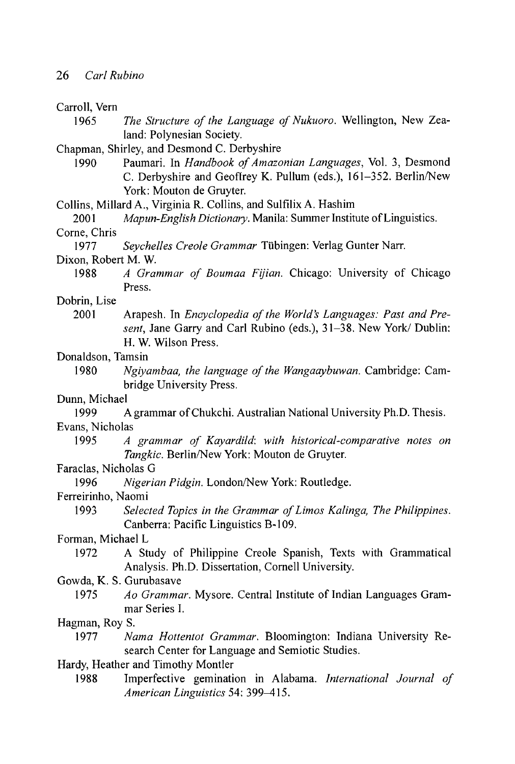#### Carroll, Vern

| 1965 | The Structure of the Language of Nukuoro. Wellington, New Zea- |
|------|----------------------------------------------------------------|
|      | land: Polynesian Society.                                      |

Chapman, Shirley, and Desmond C. Derbyshire

1990 Paumari. In *Handbook of Amazonian Languages,* Vol. 3, Desmond C. Derbyshire and Geoffrey K. Pullum (eds.), 161-352. Berlin/New York: Mouton de Gruyter.

Collins, Millard Α., Virginia R. Collins, and Sulfilix A. Hashim

2001 *Mapun-English Dictionary.* Manila: Summer Institute of Linguistics. Corne, Chris

1977 *Seychelles Creole Grammar.* Tübingen: Verlag Gunter Narr.

#### Dixon, Robert Μ. W.

1988 *A Grammar of Boumaa Fijian.* Chicago: University of Chicago Press.

#### Dobrin, Lise

2001 Arapesh. In *Encyclopedia of the World's Languages: Past and Present,* Jane Garry and Carl Rubino (eds.), 31-38. New York/ Dublin: H. W. Wilson Press.

#### Donaldson, Tamsin

1980 *Ngiyambaa, the language of the Wangaaybuwan.* Cambridge: Cambridge University Press.

# Dunn, Michael

- 1999 A grammar of Chukchi. Australian National University Ph.D. Thesis. Evans, Nicholas
	- 1995 *A grammar of Kayardild: with historical-comparative notes on Tangkic.* Berlin/New York: Mouton de Gruyter.

#### Faraclas, Nicholas G

1996 *Nigerian Pidgin.* London/New York: Routledge.

#### Ferreirinho, Naomi

1993 *Selected Topics in the Grammar of Limos Kalinga, The Philippines.*  Canberra: Pacific Linguistics B-109.

#### Forman, Michael L

1972 A Study of Philippine Creole Spanish, Texts with Grammatical Analysis. Ph.D. Dissertation, Cornell University.

### Gowda, K. S. Gurubasave

1975 *Ao Grammar.* Mysore. Central Institute of Indian Languages Grammar Series I.

#### Hagman, Roy S.

1977 *Nama Hottentot Grammar.* Bloomington: Indiana University Research Center for Language and Semiotic Studies.

#### Hardy, Heather and Timothy Montier

1988 Imperfective gemination in Alabama. *International Journal of American Linguistics* 54: 399^115.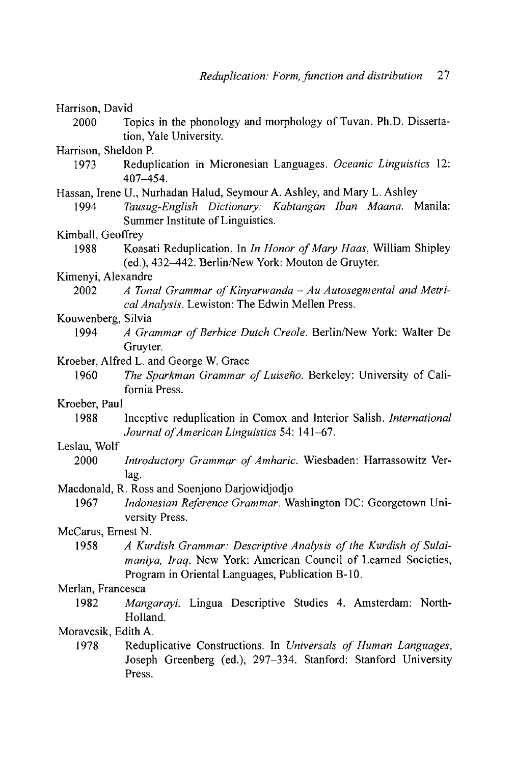| Harrison, David      |                                                                                                                                            |  |  |
|----------------------|--------------------------------------------------------------------------------------------------------------------------------------------|--|--|
| 2000                 | Topics in the phonology and morphology of Tuvan. Ph.D. Disserta-<br>tion, Yale University.                                                 |  |  |
| Harrison, Sheldon P. |                                                                                                                                            |  |  |
| 1973                 | Reduplication in Micronesian Languages. Oceanic Linguistics 12:<br>407-454.                                                                |  |  |
|                      | Hassan, Irene U., Nurhadan Halud, Seymour A. Ashley, and Mary L. Ashley                                                                    |  |  |
| 1994                 | Tausug-English Dictionary: Kabtangan Iban Maana. Manila:<br>Summer Institute of Linguistics.                                               |  |  |
|                      | Kimball, Geoffrey                                                                                                                          |  |  |
| 1988                 | Koasati Reduplication. In In Honor of Mary Haas, William Shipley<br>(ed.), 432-442. Berlin/New York: Mouton de Gruyter.                    |  |  |
| Kimenyi, Alexandre   |                                                                                                                                            |  |  |
| 2002                 | A Tonal Grammar of Kinyarwanda - Au Autosegmental and Metri-<br>cal Analysis. Lewiston: The Edwin Mellen Press.                            |  |  |
| Kouwenberg, Silvia   |                                                                                                                                            |  |  |
| 1994                 | A Grammar of Berbice Dutch Creole. Berlin/New York: Walter De<br>Gruyter.                                                                  |  |  |
|                      | Kroeber, Alfred L. and George W. Grace                                                                                                     |  |  |
| 1960                 | The Sparkman Grammar of Luiseño. Berkeley: University of Cali-<br>fornia Press.                                                            |  |  |
| Kroeber, Paul        |                                                                                                                                            |  |  |
| 1988                 | Inceptive reduplication in Comox and Interior Salish. International                                                                        |  |  |
|                      | Journal of American Linguistics 54: 141-67.                                                                                                |  |  |
| Leslau, Wolf<br>2000 | Introductory Grammar of Amharic. Wiesbaden: Harrassowitz Ver-                                                                              |  |  |
|                      | lag.                                                                                                                                       |  |  |
|                      | Macdonald, R. Ross and Soenjono Darjowidjodjo                                                                                              |  |  |
| 1967                 | Indonesian Reference Grammar. Washington DC: Georgetown Uni-<br>versity Press.                                                             |  |  |
| McCarus, Ernest N.   |                                                                                                                                            |  |  |
| 1958                 | A Kurdish Grammar: Descriptive Analysis of the Kurdish of Sulai-                                                                           |  |  |
|                      | maniya, Iraq. New York: American Council of Learned Societies,<br>Program in Oriental Languages, Publication B-10.                         |  |  |
| Merlan, Francesca    |                                                                                                                                            |  |  |
| 1982                 | Mangarayi. Lingua Descriptive Studies 4. Amsterdam: North-                                                                                 |  |  |
|                      | Holland.                                                                                                                                   |  |  |
| Moravcsik, Edith A.  |                                                                                                                                            |  |  |
| 1978                 | Reduplicative Constructions. In Universals of Human Languages,<br>Joseph Greenberg (ed.), 297-334. Stanford: Stanford University<br>Press. |  |  |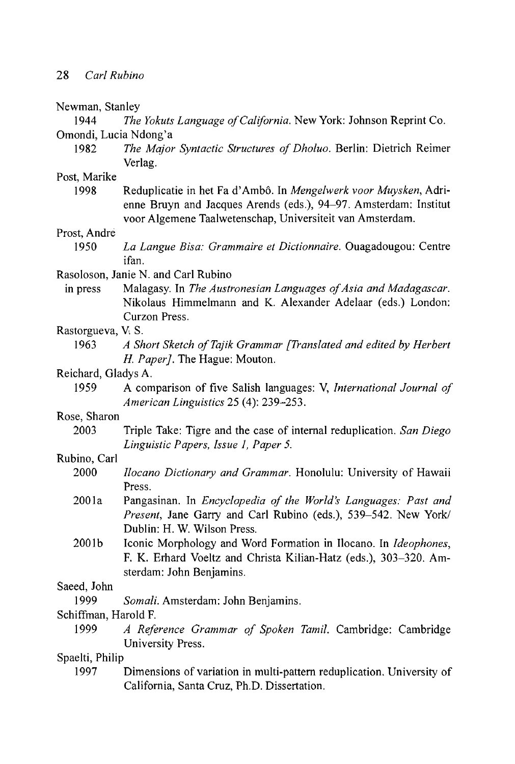#### Newman, Stanley

| 1944 | The Yokuts Language of California. New York: Johnson Reprint Co. |  |  |
|------|------------------------------------------------------------------|--|--|
|      | Omondi, Lucia Ndong'a                                            |  |  |

1982 *The Major Syntactic Structures of Dholuo.* Berlin: Dietrich Reimer Verlag.

#### Post, Marike

1998 Reduplicatie in het Fa d'Ambö. In *Mengelwerk voor Muysken,* Adrienne Bruyn and Jacques Arends (eds.), 94-97. Amsterdam: Institut voor Algemene Taalwetenschap, Universiteit van Amsterdam.

#### Prost, Andre

- 1950 *La Langue Bisa: Grammaire et Dictionnaire.* Ouagadougou: Centre ifan.
- Rasoloson, Janie N. and Carl Rubino
- in press Malagasy. In *The Austronesian Languages of Asia and Madagascar.*  Nikolaus Himmelmann and Κ. Alexander Adelaar (eds.) London: Curzon Press.

#### Rastorgueva, V. S.

1963 *A Short Sketch of Tajik Grammar [Translated and edited by Herbert H. Paper],* The Hague: Mouton.

#### Reichard, Gladys A.

1959 A comparison of five Salish languages: V, *International Journal of American Linguistics* 25 (4): 239-253.

## Rose, Sharon

2003 Triple Take: Tigre and the case of internal reduplication. *San Diego Linguistic Papers, Issue 1, Paper 5.* 

#### Rubino, Carl

- 2000 *Ilocano Dictionary and Grammar.* Honolulu: University of Hawaii Press.
- 2001a Pangasinan. In *Encyclopedia of the World's Languages: Past and Present,* Jane Garry and Carl Rubino (eds.), 539-542. New York/ Dublin: H. W. Wilson Press.
- 2001b Iconic Morphology and Word Formation in Ilocano. In *Ideophones,*  F. K. Erhard Voeltz and Christa Kilian-Hatz (eds.), 303-320. Amsterdam: John Benjamins.

#### Saeed, John

1999 *Somali.* Amsterdam: John Benjamins.

### Schiffman, Harold F.

1999 *A Reference Grammar of Spoken Tamil.* Cambridge: Cambridge University Press.

#### Spaelti, Philip

1997 Dimensions of variation in multi-pattern reduplication. University of California, Santa Cruz, Ph.D. Dissertation.